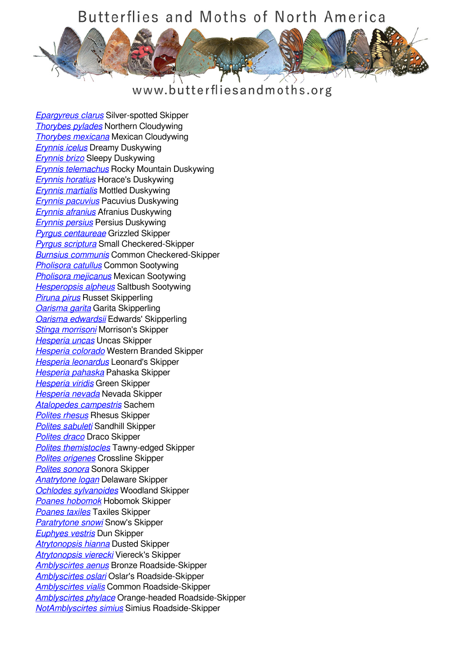

#### www.butterfliesandmoths.org

*[Epargyreus clarus](/species/Epargyreus-clarus)* Silver-spotted Skipper *[Thorybes pylades](/species/Thorybes-pylades)* Northern Cloudywing *[Thorybes mexicana](/species/Thorybes-mexicana)* Mexican Cloudywing *[Erynnis icelus](/species/Erynnis-icelus)* Dreamy Duskywing *[Erynnis brizo](/species/Erynnis-brizo)* Sleepy Duskywing *[Erynnis telemachus](/species/Erynnis-telemachus)* Rocky Mountain Duskywing *[Erynnis horatius](/species/Erynnis-horatius)* Horace's Duskywing *[Erynnis martialis](/species/Erynnis-martialis)* Mottled Duskywing *[Erynnis pacuvius](/species/Erynnis-pacuvius)* Pacuvius Duskywing *[Erynnis afranius](/species/Erynnis-afranius)* Afranius Duskywing *[Erynnis persius](/species/Erynnis-persius)* Persius Duskywing *[Pyrgus centaureae](/species/Pyrgus-centaureae)* Grizzled Skipper *[Pyrgus scriptura](/species/Pyrgus-scriptura)* Small Checkered-Skipper *[Burnsius communis](/species/Pyrgus-communis)* Common Checkered-Skipper *[Pholisora catullus](/species/Pholisora-catullus)* Common Sootywing *[Pholisora mejicanus](/species/Pholisora-mejicanus)* Mexican Sootywing *[Hesperopsis alpheus](/species/Hesperopsis-alpheus)* Saltbush Sootywing *[Piruna pirus](/species/Piruna-pirus)* Russet Skipperling *[Oarisma garita](/species/Oarisma-garita)* Garita Skipperling *[Oarisma edwardsii](/species/Oarisma-edwardsii)* Edwards' Skipperling *[Stinga morrisoni](/species/Stinga-morrisoni)* Morrison's Skipper *[Hesperia uncas](/species/Hesperia-uncas)* Uncas Skipper *[Hesperia colorado](/species/Hesperia-colorado)* Western Branded Skipper *[Hesperia leonardus](/species/Hesperia-leonardus)* Leonard's Skipper *[Hesperia pahaska](/species/Hesperia-pahaska)* Pahaska Skipper *[Hesperia viridis](/species/Hesperia-viridis)* Green Skipper *[Hesperia nevada](/species/Hesperia-nevada)* Nevada Skipper *[Atalopedes campestris](/species/Atalopedes-campestris)* Sachem *[Polites rhesus](/species/Polites-rhesus)* Rhesus Skipper *[Polites sabuleti](/species/Polites-sabuleti)* Sandhill Skipper *[Polites draco](/species/Polites-draco)* Draco Skipper *[Polites themistocles](/species/Polites-themistocles)* Tawny-edged Skipper *[Polites origenes](/species/Polites-origenes)* Crossline Skipper *[Polites sonora](/species/Polites-sonora)* Sonora Skipper *[Anatrytone logan](/species/Anatrytone-logan)* Delaware Skipper *[Ochlodes sylvanoides](/species/Ochlodes-sylvanoides)* Woodland Skipper *[Poanes hobomok](/species/Poanes-hobomok)* Hobomok Skipper *[Poanes taxiles](/species/Poanes-taxiles)* Taxiles Skipper *[Paratrytone snowi](/species/Paratrytone-snowi)* Snow's Skipper *[Euphyes vestris](/species/Euphyes-vestris)* Dun Skipper *[Atrytonopsis hianna](/species/Atrytonopsis-hianna)* Dusted Skipper *[Atrytonopsis vierecki](/species/Atrytonopsis-vierecki)* Viereck's Skipper *[Amblyscirtes aenus](/species/Amblyscirtes-aenus)* Bronze Roadside-Skipper *[Amblyscirtes oslari](/species/Amblyscirtes-oslari)* Oslar's Roadside-Skipper *[Amblyscirtes vialis](/species/Amblyscirtes-vialis)* Common Roadside-Skipper *[Amblyscirtes phylace](/species/Amblyscirtes-phylace)* Orange-headed Roadside-Skipper *[NotAmblyscirtes simius](/species/NotAmblyscirtes-simius)* Simius Roadside-Skipper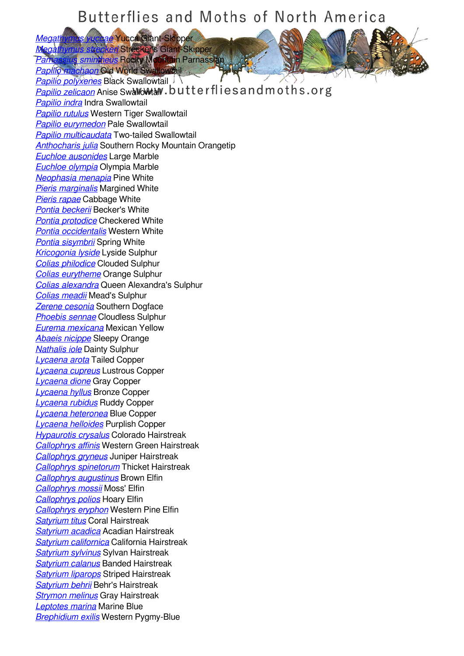**Megathymus vuccae** Yucca Giant-Skipper *[Megathymus streckeri](/species/Megathymus-streckeri)* Strecker's Giant-Skipper

*[Parnassius smintheus](/species/Parnassius-smintheus)* Rocky Mountain Parnassian

*[Papilio machaon](/species/Papilio-machaon)* Old World Swallowtail *[Papilio polyxenes](/species/Papilio-polyxenes)* Black Swallowtail *[Papilio zelicaon](/species/Papilio-zelicaon)* Anise Swallowtail. butterflies and moths.org *[Papilio indra](/species/Papilio-indra)* Indra Swallowtail *[Papilio rutulus](/species/Papilio-rutulus)* Western Tiger Swallowtail *[Papilio eurymedon](/species/Papilio-eurymedon)* Pale Swallowtail *[Papilio multicaudata](/species/Papilio-multicaudata)* Two-tailed Swallowtail *[Anthocharis julia](/species/Anthocharis-julia)* Southern Rocky Mountain Orangetip *[Euchloe ausonides](/species/Euchloe-ausonides)* Large Marble *[Euchloe olympia](/species/Euchloe-olympia)* Olympia Marble *[Neophasia menapia](/species/Neophasia-menapia)* Pine White *[Pieris marginalis](/species/Pieris-marginalis)* Margined White *[Pieris rapae](/species/Pieris-rapae)* Cabbage White *[Pontia beckerii](/species/Pontia-beckerii)* Becker's White *[Pontia protodice](/species/Pontia-protodice)* Checkered White *[Pontia occidentalis](/species/Pontia-occidentalis)* Western White *[Pontia sisymbrii](/species/Pontia-sisymbrii)* Spring White *[Kricogonia lyside](/species/Kricogonia-lyside)* Lyside Sulphur *[Colias philodice](/species/Colias-philodice)* Clouded Sulphur *[Colias eurytheme](/species/Colias-eurytheme)* Orange Sulphur *[Colias alexandra](/species/Colias-alexandra)* Queen Alexandra's Sulphur *[Colias meadii](/species/Colias-meadii)* Mead's Sulphur *[Zerene cesonia](/species/Zerene-cesonia)* Southern Dogface *[Phoebis sennae](/species/Phoebis-sennae)* Cloudless Sulphur *[Eurema mexicana](/species/Eurema-mexicana)* Mexican Yellow *[Abaeis nicippe](/species/Abaeis-nicippe)* Sleepy Orange *[Nathalis iole](/species/Nathalis-iole)* Dainty Sulphur *[Lycaena arota](/species/Lycaena-arota)* Tailed Copper *[Lycaena cupreus](/species/Lycaena-cupreus)* Lustrous Copper *[Lycaena dione](/species/Lycaena-dione)* Gray Copper *[Lycaena hyllus](/species/Lycaena-hyllus)* Bronze Copper *[Lycaena rubidus](/species/Lycaena-rubidus)* Ruddy Copper *[Lycaena heteronea](/species/Lycaena-heteronea)* Blue Copper *[Lycaena helloides](/species/Lycaena-helloides)* Purplish Copper *[Hypaurotis crysalus](/species/Hypaurotis-crysalus)* Colorado Hairstreak *[Callophrys affinis](/species/Callophrys-affinis)* Western Green Hairstreak *[Callophrys gryneus](/species/Callophrys-gryneus)* Juniper Hairstreak *[Callophrys spinetorum](/species/Callophrys-spinetorum)* Thicket Hairstreak *[Callophrys augustinus](/species/Callophrys-augustinus)* Brown Elfin *[Callophrys mossii](/species/Callophrys-mossii)* Moss' Elfin *[Callophrys polios](/species/Callophrys-polios)* Hoary Elfin *[Callophrys eryphon](/species/Callophrys-eryphon)* Western Pine Elfin *[Satyrium titus](/species/Satyrium-titus)* Coral Hairstreak *[Satyrium acadica](/species/Satyrium-acadica)* Acadian Hairstreak *[Satyrium californica](/species/Satyrium-californica)* California Hairstreak *[Satyrium sylvinus](/species/Satyrium-sylvinus)* Sylvan Hairstreak *[Satyrium calanus](/species/Satyrium-calanus)* Banded Hairstreak *[Satyrium liparops](/species/Satyrium-liparops)* Striped Hairstreak *[Satyrium behrii](/species/Satyrium-behrii)* Behr's Hairstreak *[Strymon melinus](/species/Strymon-melinus)* Gray Hairstreak *[Leptotes marina](/species/Leptotes-marina)* Marine Blue *[Brephidium exilis](/species/Brephidium-exilis)* Western Pygmy-Blue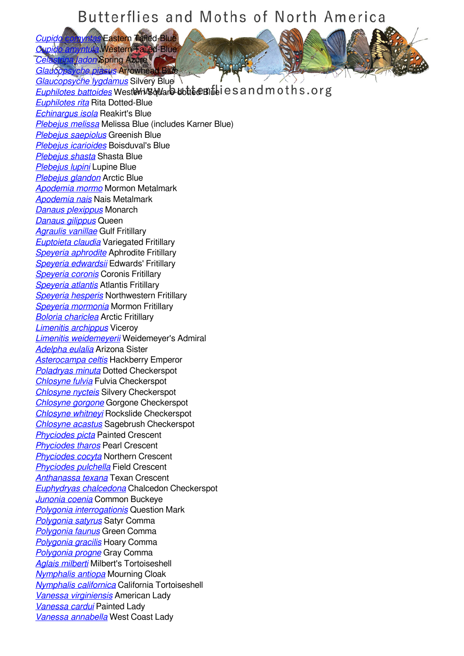*[Cupido comyntas](/species/Cupido-comyntas)* Eastern Tailed-Blue *[Cupido amyntula](/species/Cupido-amyntula)* Western Tailed-Blue

*[Celastrina ladon](/species/Celastrina-ladon)* Spring Azure *[Glaucopsyche piasus](/species/Glaucopsyche-piasus)* Arrowhead Blue *[Glaucopsyche lygdamus](/species/Glaucopsyche-lygdamus)* Silvery Blue

**[Euphilotes battoides](/species/Euphilotes-battoides)** WestWH Square-dotted Blue is and moths.org *[Euphilotes rita](/species/Euphilotes-rita)* Rita Dotted-Blue *[Echinargus isola](/species/Echinargus-isola)* Reakirt's Blue *[Plebejus melissa](/species/Plebejus-melissa)* Melissa Blue (includes Karner Blue) *[Plebejus saepiolus](/species/Plebejus-saepiolus)* Greenish Blue *[Plebejus icarioides](/species/Plebejus-icarioides)* Boisduval's Blue *[Plebejus shasta](/species/Plebejus-shasta)* Shasta Blue *[Plebejus lupini](/species/Plebejus-lupini)* Lupine Blue *[Plebejus glandon](/species/Plebejus-glandon)* Arctic Blue *[Apodemia mormo](/species/Apodemia-mormo)* Mormon Metalmark *[Apodemia nais](/species/Apodemia-nais)* Nais Metalmark *[Danaus plexippus](/species/Danaus-plexippus)* Monarch *[Danaus gilippus](/species/Danaus-gilippus)* Queen *[Agraulis vanillae](/species/Agraulis-vanillae)* Gulf Fritillary *[Euptoieta claudia](/species/Euptoieta-claudia)* Variegated Fritillary *[Speyeria aphrodite](/species/Speyeria-aphrodite)* Aphrodite Fritillary *[Speyeria edwardsii](/species/Speyeria-edwardsii)* Edwards' Fritillary *[Speyeria coronis](/species/Speyeria-coronis)* Coronis Fritillary *[Speyeria atlantis](/species/Speyeria-atlantis)* Atlantis Fritillary *[Speyeria hesperis](/species/Speyeria-hesperis)* Northwestern Fritillary *[Speyeria mormonia](/species/Speyeria-mormonia)* Mormon Fritillary *[Boloria chariclea](/species/Boloria-chariclea)* Arctic Fritillary *[Limenitis archippus](/species/Limenitis-archippus)* Viceroy *[Limenitis weidemeyerii](/species/Limenitis-weidemeyerii)* Weidemeyer's Admiral *[Adelpha eulalia](/species/Adelpha-eulalia)* Arizona Sister *[Asterocampa celtis](/species/Asterocampa-celtis)* Hackberry Emperor *[Poladryas minuta](/species/Poladryas-minuta)* Dotted Checkerspot *[Chlosyne fulvia](/species/Chlosyne-fulvia)* Fulvia Checkerspot *[Chlosyne nycteis](/species/Chlosyne-nycteis)* Silvery Checkerspot *[Chlosyne gorgone](/species/Chlosyne-gorgone)* Gorgone Checkerspot *[Chlosyne whitneyi](/species/Chlosyne-whitneyi)* Rockslide Checkerspot *[Chlosyne acastus](/species/Chlosyne-acastus)* Sagebrush Checkerspot *[Phyciodes picta](/species/Phyciodes-picta)* Painted Crescent *[Phyciodes tharos](/species/Phyciodes-tharos)* Pearl Crescent *[Phyciodes cocyta](/species/Phyciodes-cocyta)* Northern Crescent *[Phyciodes pulchella](/species/Phyciodes-pulchella)* Field Crescent *[Anthanassa texana](/species/Anthanassa-texana)* Texan Crescent *[Euphydryas chalcedona](/species/Euphydryas-chalcedona)* Chalcedon Checkerspot *[Junonia coenia](/species/Junonia-coenia)* Common Buckeye *[Polygonia interrogationis](/species/Polygonia-interrogationis)* Question Mark *[Polygonia satyrus](/species/Polygonia-satyrus)* Satyr Comma *[Polygonia faunus](/species/Polygonia-faunus)* Green Comma *[Polygonia gracilis](/species/Polygonia-gracilis)* Hoary Comma *[Polygonia progne](/species/Polygonia-progne)* Gray Comma *[Aglais milberti](/species/Aglais-milberti)* Milbert's Tortoiseshell *[Nymphalis antiopa](/species/Nymphalis-antiopa)* Mourning Cloak *[Nymphalis californica](/species/Nymphalis-californica)* California Tortoiseshell *[Vanessa virginiensis](/species/Vanessa-virginiensis)* American Lady *[Vanessa cardui](/species/Vanessa-cardui)* Painted Lady *[Vanessa annabella](/species/Vanessa-annabella)* West Coast Lady